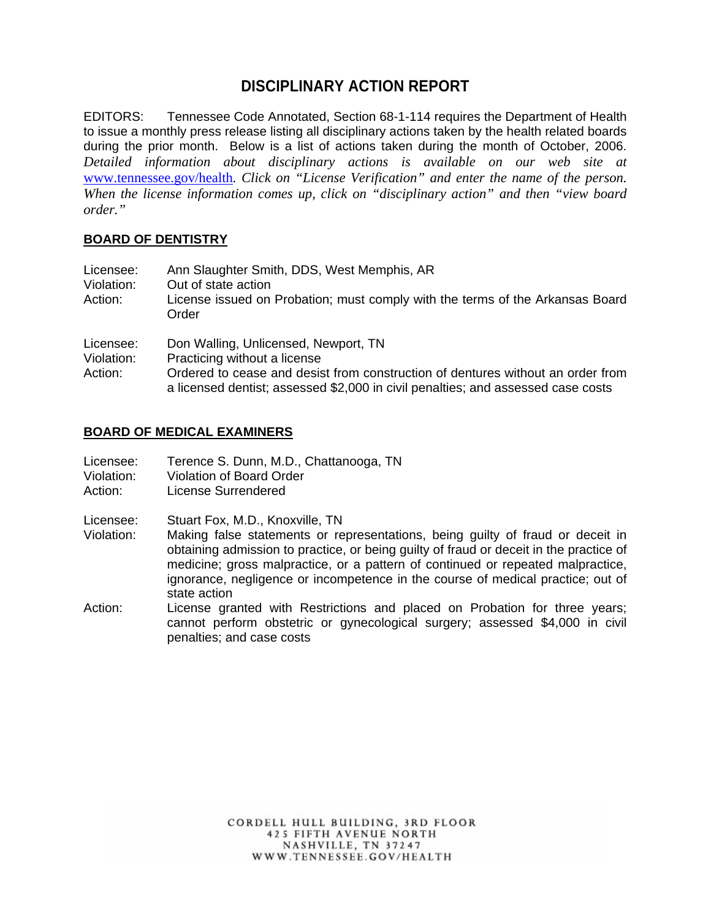# **DISCIPLINARY ACTION REPORT**

EDITORS: Tennessee Code Annotated, Section 68-1-114 requires the Department of Health to issue a monthly press release listing all disciplinary actions taken by the health related boards during the prior month. Below is a list of actions taken during the month of October, 2006. *Detailed information about disciplinary actions is available on our web site at*  www.tennessee.gov/health*. Click on "License Verification" and enter the name of the person. When the license information comes up, click on "disciplinary action" and then "view board order."* 

## **BOARD OF DENTISTRY**

| Licensee:<br>Violation:<br>Action: | Ann Slaughter Smith, DDS, West Memphis, AR<br>Out of state action<br>License issued on Probation; must comply with the terms of the Arkansas Board<br>Order |
|------------------------------------|-------------------------------------------------------------------------------------------------------------------------------------------------------------|
| Licensee:                          | Don Walling, Unlicensed, Newport, TN                                                                                                                        |

Violation: Practicing without a license

Action: Ordered to cease and desist from construction of dentures without an order from a licensed dentist; assessed \$2,000 in civil penalties; and assessed case costs

## **BOARD OF MEDICAL EXAMINERS**

- Licensee: Terence S. Dunn, M.D., Chattanooga, TN
- Violation: Violation of Board Order
- Action: License Surrendered

Licensee: Stuart Fox, M.D., Knoxville, TN

- Violation: Making false statements or representations, being guilty of fraud or deceit in obtaining admission to practice, or being guilty of fraud or deceit in the practice of medicine; gross malpractice, or a pattern of continued or repeated malpractice, ignorance, negligence or incompetence in the course of medical practice; out of state action
- Action: License granted with Restrictions and placed on Probation for three years; cannot perform obstetric or gynecological surgery; assessed \$4,000 in civil penalties; and case costs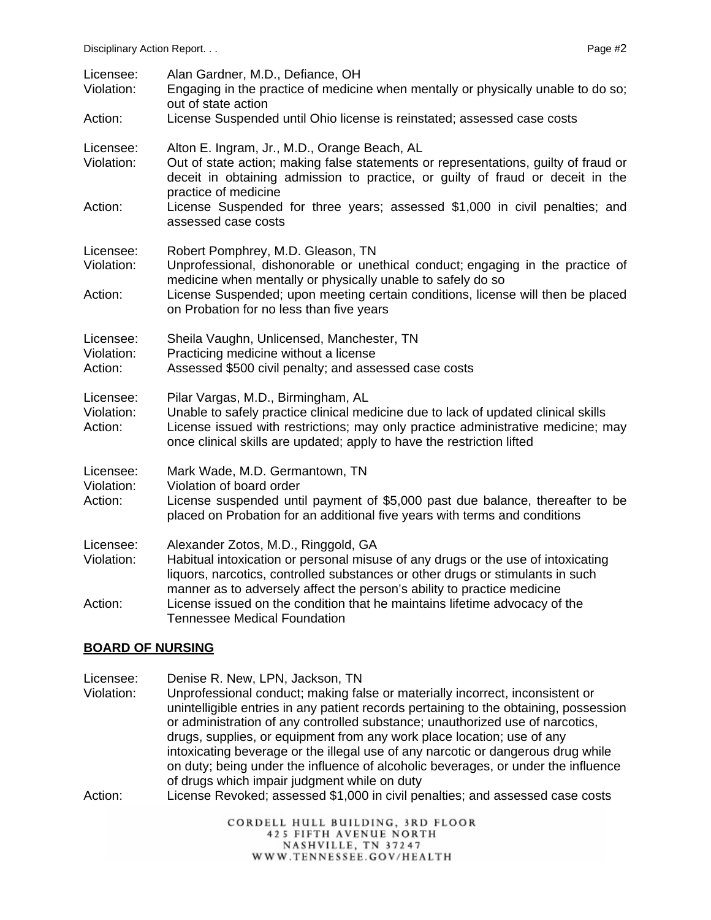| Licensee:<br>Violation:            | Alan Gardner, M.D., Defiance, OH<br>Engaging in the practice of medicine when mentally or physically unable to do so;<br>out of state action                                                                                                                                           |
|------------------------------------|----------------------------------------------------------------------------------------------------------------------------------------------------------------------------------------------------------------------------------------------------------------------------------------|
| Action:                            | License Suspended until Ohio license is reinstated; assessed case costs                                                                                                                                                                                                                |
| Licensee:<br>Violation:            | Alton E. Ingram, Jr., M.D., Orange Beach, AL<br>Out of state action; making false statements or representations, guilty of fraud or<br>deceit in obtaining admission to practice, or guilty of fraud or deceit in the                                                                  |
| Action:                            | practice of medicine<br>License Suspended for three years; assessed \$1,000 in civil penalties; and<br>assessed case costs                                                                                                                                                             |
| Licensee:<br>Violation:            | Robert Pomphrey, M.D. Gleason, TN<br>Unprofessional, dishonorable or unethical conduct; engaging in the practice of<br>medicine when mentally or physically unable to safely do so                                                                                                     |
| Action:                            | License Suspended; upon meeting certain conditions, license will then be placed<br>on Probation for no less than five years                                                                                                                                                            |
| Licensee:<br>Violation:<br>Action: | Sheila Vaughn, Unlicensed, Manchester, TN<br>Practicing medicine without a license<br>Assessed \$500 civil penalty; and assessed case costs                                                                                                                                            |
| Licensee:<br>Violation:<br>Action: | Pilar Vargas, M.D., Birmingham, AL<br>Unable to safely practice clinical medicine due to lack of updated clinical skills<br>License issued with restrictions; may only practice administrative medicine; may<br>once clinical skills are updated; apply to have the restriction lifted |
| Licensee:<br>Violation:<br>Action: | Mark Wade, M.D. Germantown, TN<br>Violation of board order<br>License suspended until payment of \$5,000 past due balance, thereafter to be<br>placed on Probation for an additional five years with terms and conditions                                                              |
| Licensee:<br>Violation:            | Alexander Zotos, M.D., Ringgold, GA<br>Habitual intoxication or personal misuse of any drugs or the use of intoxicating<br>liquors, narcotics, controlled substances or other drugs or stimulants in such<br>manner as to adversely affect the person's ability to practice medicine   |
| Action:                            | License issued on the condition that he maintains lifetime advocacy of the<br><b>Tennessee Medical Foundation</b>                                                                                                                                                                      |

#### **BOARD OF NURSING**

- Licensee: Denise R. New, LPN, Jackson, TN<br>Violation: Unprofessional conduct: making fal Unprofessional conduct; making false or materially incorrect, inconsistent or unintelligible entries in any patient records pertaining to the obtaining, possession or administration of any controlled substance; unauthorized use of narcotics, drugs, supplies, or equipment from any work place location; use of any intoxicating beverage or the illegal use of any narcotic or dangerous drug while on duty; being under the influence of alcoholic beverages, or under the influence of drugs which impair judgment while on duty
- Action: License Revoked; assessed \$1,000 in civil penalties; and assessed case costs

CORDELL HULL BUILDING, 3RD FLOOR **425 FIFTH AVENUE NORTH** NASHVILLE, TN 37247 WWW.TENNESSEE.GOV/HEALTH